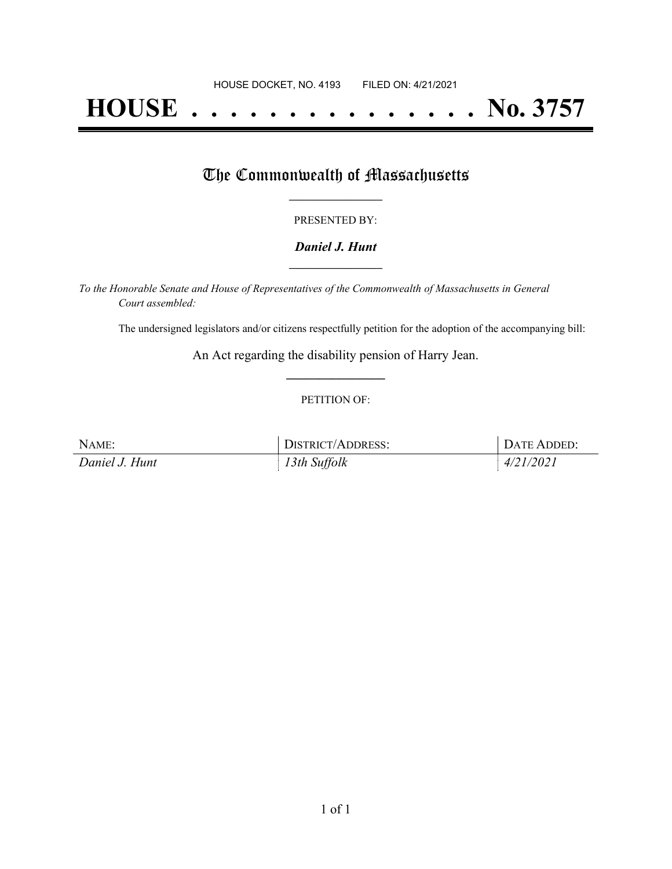# **HOUSE . . . . . . . . . . . . . . . No. 3757**

## The Commonwealth of Massachusetts

#### PRESENTED BY:

#### *Daniel J. Hunt* **\_\_\_\_\_\_\_\_\_\_\_\_\_\_\_\_\_**

*To the Honorable Senate and House of Representatives of the Commonwealth of Massachusetts in General Court assembled:*

The undersigned legislators and/or citizens respectfully petition for the adoption of the accompanying bill:

An Act regarding the disability pension of Harry Jean. **\_\_\_\_\_\_\_\_\_\_\_\_\_\_\_**

#### PETITION OF:

| NAME:          | DISTRICT/ADDRESS: | DATE ADDED: |
|----------------|-------------------|-------------|
| Daniel J. Hunt | 13th Suffolk      | 4/21/2021   |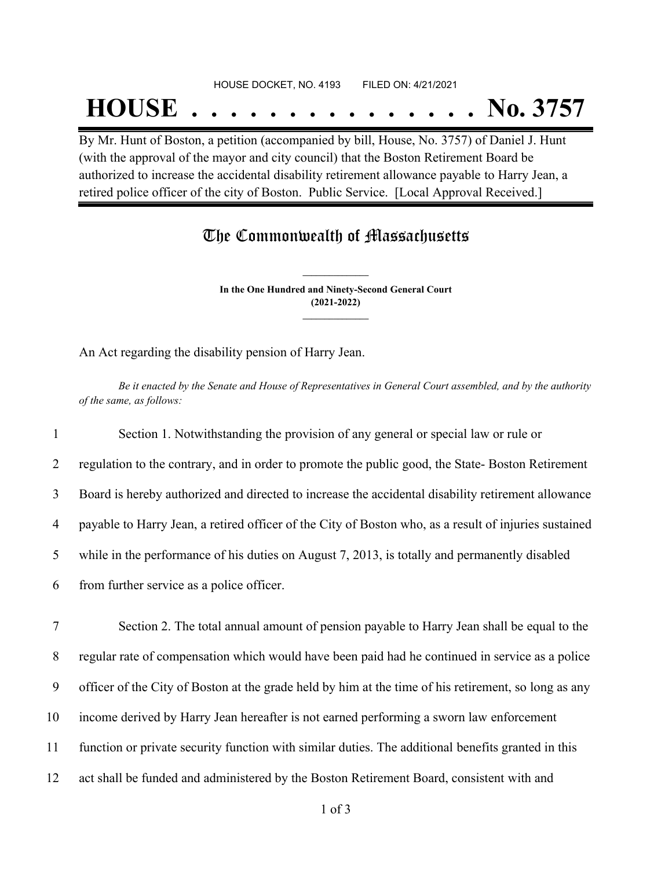#### HOUSE DOCKET, NO. 4193 FILED ON: 4/21/2021

## **HOUSE . . . . . . . . . . . . . . . No. 3757**

By Mr. Hunt of Boston, a petition (accompanied by bill, House, No. 3757) of Daniel J. Hunt (with the approval of the mayor and city council) that the Boston Retirement Board be authorized to increase the accidental disability retirement allowance payable to Harry Jean, a retired police officer of the city of Boston. Public Service. [Local Approval Received.]

### The Commonwealth of Massachusetts

**In the One Hundred and Ninety-Second General Court (2021-2022) \_\_\_\_\_\_\_\_\_\_\_\_\_\_\_**

**\_\_\_\_\_\_\_\_\_\_\_\_\_\_\_**

An Act regarding the disability pension of Harry Jean.

Be it enacted by the Senate and House of Representatives in General Court assembled, and by the authority *of the same, as follows:*

 Section 1. Notwithstanding the provision of any general or special law or rule or 2 regulation to the contrary, and in order to promote the public good, the State-Boston Retirement Board is hereby authorized and directed to increase the accidental disability retirement allowance payable to Harry Jean, a retired officer of the City of Boston who, as a result of injuries sustained while in the performance of his duties on August 7, 2013, is totally and permanently disabled from further service as a police officer. Section 2. The total annual amount of pension payable to Harry Jean shall be equal to the regular rate of compensation which would have been paid had he continued in service as a police officer of the City of Boston at the grade held by him at the time of his retirement, so long as any income derived by Harry Jean hereafter is not earned performing a sworn law enforcement function or private security function with similar duties. The additional benefits granted in this

12 act shall be funded and administered by the Boston Retirement Board, consistent with and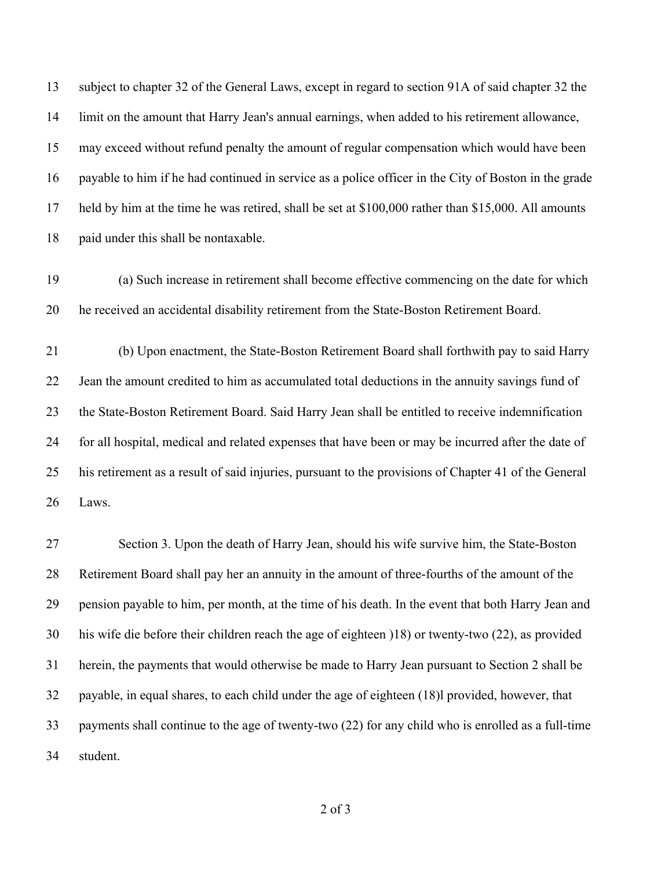subject to chapter 32 of the General Laws, except in regard to section 91A of said chapter 32 the limit on the amount that Harry Jean's annual earnings, when added to his retirement allowance, may exceed without refund penalty the amount of regular compensation which would have been payable to him if he had continued in service as a police officer in the City of Boston in the grade held by him at the time he was retired, shall be set at \$100,000 rather than \$15,000. All amounts paid under this shall be nontaxable.

 (a) Such increase in retirement shall become effective commencing on the date for which he received an accidental disability retirement from the State-Boston Retirement Board.

 (b) Upon enactment, the State-Boston Retirement Board shall forthwith pay to said Harry Jean the amount credited to him as accumulated total deductions in the annuity savings fund of the State-Boston Retirement Board. Said Harry Jean shall be entitled to receive indemnification for all hospital, medical and related expenses that have been or may be incurred after the date of his retirement as a result of said injuries, pursuant to the provisions of Chapter 41 of the General Laws.

 Section 3. Upon the death of Harry Jean, should his wife survive him, the State-Boston Retirement Board shall pay her an annuity in the amount of three-fourths of the amount of the pension payable to him, per month, at the time of his death. In the event that both Harry Jean and his wife die before their children reach the age of eighteen )18) or twenty-two (22), as provided herein, the payments that would otherwise be made to Harry Jean pursuant to Section 2 shall be payable, in equal shares, to each child under the age of eighteen (18)l provided, however, that payments shall continue to the age of twenty-two (22) for any child who is enrolled as a full-time student.

of 3